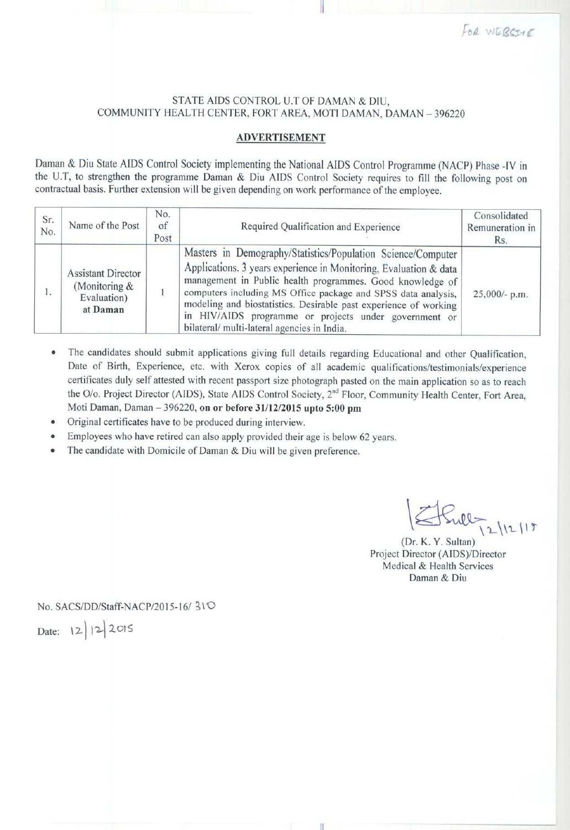## STATE AIDS CONTROL U.T OF DAMAN & DIU, COMMUNITY HEALTH CENTER, FORT AREA, MOTI DAMAN, DAMAN - 396220

## ADVERTISEMENT

Daman & Diu State AIDS Control Society implementing the National AIDS Control Programme (NACP) Phase -IV in the U.T, to strengthen the programme Daman & Diu AIDS Control Society requires to fill the following post on contractual basis. Further extension will be given depending on work performance of the employee.

| Sr.<br>No. | Name of the Post                                                      | No.<br>of<br>Post | Required Qualification and Experience                                                                                                                                                                                                                                                                                                                                                                                                      | Consolidated<br>Remuneration in<br>Rs. |
|------------|-----------------------------------------------------------------------|-------------------|--------------------------------------------------------------------------------------------------------------------------------------------------------------------------------------------------------------------------------------------------------------------------------------------------------------------------------------------------------------------------------------------------------------------------------------------|----------------------------------------|
| L.         | <b>Assistant Director</b><br>(Monitoring &<br>Evaluation)<br>at Daman |                   | Masters in Demography/Statistics/Population Science/Computer<br>Applications. 3 years experience in Monitoring, Evaluation & data<br>management in Public health programmes. Good knowledge of<br>computers including MS Office package and SPSS data analysis,<br>modeling and biostatistics. Desirable past experience of working<br>in HIV/AIDS programme or projects under government or<br>bilateral/multi-lateral agencies in India. | 25,000/- p.m.                          |

- The candidates should submit applications giving full details regarding Educational and other Qualification, Date of Birth, Experience, etc. with Xerox copies of all academic qualifications/testimonials/experience certificates duly self attested with recent passport size photograph pasted on the main application so as to reach the O/o. Project Director (AIDS), State AIDS Control Society, 2<sup>nd</sup> Floor, Community Health Center, Fort Area, Moti Daman, Daman - 396220, **on or before** 31/12/2015 **upto 5:00 pm**
- Original certificates have to be produced during interview.
- Employees who have retired can also apply provided their age is below 62 years.
- The candidate with Domicile of Daman & Diu will be given preference.

 $5\sqrt{2\ln(17)}$ 

Project Director (AIDS)/Director Medical & Health Services Daman & Diu

No. SACS/DD/Staff-NACP/2015-16/ 310

Date: 12/12/2015